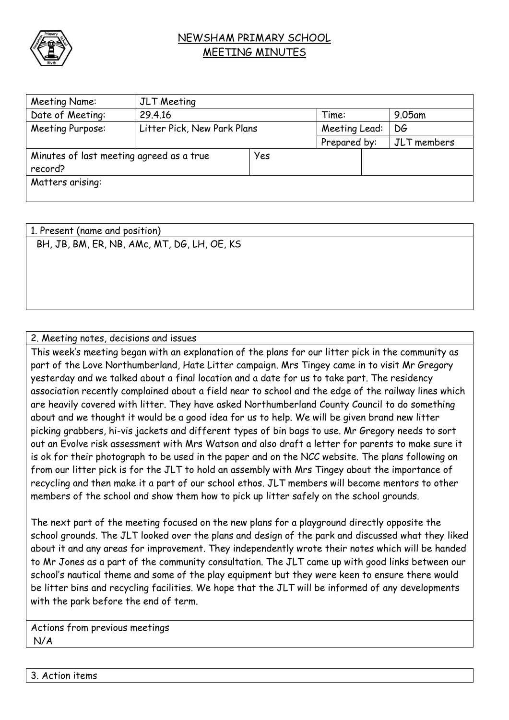

## NEWSHAM PRIMARY SCHOOL MEETING MINUTES

| Meeting Name:                            | JLT Meeting                 |     |               |  |             |  |
|------------------------------------------|-----------------------------|-----|---------------|--|-------------|--|
| Date of Meeting:                         | 29.4.16                     |     | Time:         |  | $9.05$ am   |  |
| Meeting Purpose:                         | Litter Pick, New Park Plans |     | Meeting Lead: |  | DG          |  |
|                                          |                             |     | Prepared by:  |  | JLT members |  |
| Minutes of last meeting agreed as a true |                             | Yes |               |  |             |  |
| record?                                  |                             |     |               |  |             |  |
| Matters arising:                         |                             |     |               |  |             |  |
|                                          |                             |     |               |  |             |  |

1. Present (name and position) BH, JB, BM, ER, NB, AMc, MT, DG, LH, OE, KS

## 2. Meeting notes, decisions and issues

This week's meeting began with an explanation of the plans for our litter pick in the community as part of the Love Northumberland, Hate Litter campaign. Mrs Tingey came in to visit Mr Gregory yesterday and we talked about a final location and a date for us to take part. The residency association recently complained about a field near to school and the edge of the railway lines which are heavily covered with litter. They have asked Northumberland County Council to do something about and we thought it would be a good idea for us to help. We will be given brand new litter picking grabbers, hi-vis jackets and different types of bin bags to use. Mr Gregory needs to sort out an Evolve risk assessment with Mrs Watson and also draft a letter for parents to make sure it is ok for their photograph to be used in the paper and on the NCC website. The plans following on from our litter pick is for the JLT to hold an assembly with Mrs Tingey about the importance of recycling and then make it a part of our school ethos. JLT members will become mentors to other members of the school and show them how to pick up litter safely on the school grounds.

The next part of the meeting focused on the new plans for a playground directly opposite the school grounds. The JLT looked over the plans and design of the park and discussed what they liked about it and any areas for improvement. They independently wrote their notes which will be handed to Mr Jones as a part of the community consultation. The JLT came up with good links between our school's nautical theme and some of the play equipment but they were keen to ensure there would be litter bins and recycling facilities. We hope that the JLT will be informed of any developments with the park before the end of term.

Actions from previous meetings N/A

3. Action items